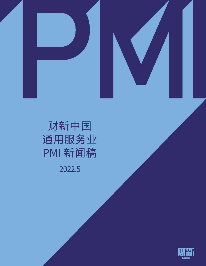

# 财新中国 通用服务业 PMI 新闻稿

### 2022.5

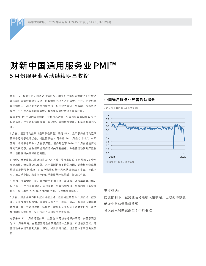### 财新中国通用服务业 PMI™

### 5 月份服务业活动继续明显收缩

最新 PMI 数据显示,因最近疫情抬头,相关防控措施导致服务业经营活 动与新订单量继续明显收缩, 但收缩率已较 4 月份放缓。不过, 企业仍继 续压缩用工,加上业务运营持续受限,积压业务量进一步激增。价格数据 显示,平均投入成本涨幅放缓,服务业收费价格仅有轻微升幅。

展望未来 12 个月的经营前景,业界信心改善,5 月份乐观度回升至 3 个 月来最高,许多企业预期疫情一旦受控,限制措施放松,业务会有强劲反 弹。

5 月份, 经营活动指数(经季节性调整) 录得 41.4, 显示服务业活动连续 第三个月处于收缩状态。指数虽然较 4 月份的 26 个月低点 (36.2) 有所 回升, 收缩率也不像 4 月份般严重, 但仍然创下 2020 年 2 月首轮疫情过 后的次高记录。企业继续提到疫情相关限制措施,令经营活动受到严重影 响,包括临时关停和出行受限。

5 月份, 新接业务总量连续第四个月下滑, 降幅虽然较 4 月份的 26 个月 高点放缓,但整体仍然显著。关于最近销售下滑的原因,调查样本企业继 续提到疫情限制措施,对客户数量和整体需求状况造成了冲击。与此同 时, 第二季中期, 来自海外的订单量虽然降幅放缓, 但仍然明显。

5 月份, 经营需求下降, 导致服务业用工进一步收缩, 收缩率虽属小幅, 但已是 15 个月来最显著。与此同时, 经营持续受限, 导致积压业务持续 增加, 积压率为 2020 年 2 月后最严重, 但整体尚属温和。

5 月份, 服务业平均投入成本继续上扬, 但涨幅放缓至 9 个月低点。据反 映,企业成本负担增加,普遍是因为人工、原料、食品、能源和运输等各 种费用上升。为转移成本上扬压力,服务业企业相应上调收费价格,虽然 加价幅度仅算轻微,但已扭转了4月份的降价趋势。

对于未来 12 个月的经营前景, 业界在 5 月份普遍保持乐观, 并且乐观度 为 3 个月来最高, 主要原因是企业预期疫情一旦受控, 市况恢复正常, 经 营活动将会出现强劲反弹。不过,相比长期均值,当月整体乐观度仍然偏 低。

#### 中国通用服务业经营活动指数

>50 = 较上月改善 (经季节调整)



要点归纳:

防疫限制下,服务业活动继续大幅收缩,但收缩率放缓 新增业务总量降幅放缓

投入成本涨速减弱至 9 个月低点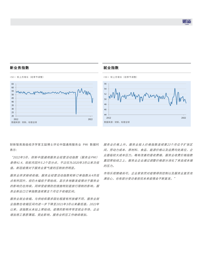QTXH

#### 亍┯ⱷ䧗丘 㶩┯䧗丘



财新智库高级经济学家王喆博士评论中国通用服务业 PMI 数据时 表示:

"2022年5月, 财新中国通用服务业经营活动指数(服务业PMI) 录得41.4,较前月回升5.2个百分点,不过仅为2020年3月以来次低 值。新冠疫情对于服务业景气度的压制依然明显。

服务业供求继续收缩。服务业经营活动指数和新订单指数从4月低 点有所回升,但仍大幅低于荣枯线,显示多地散发疫情对于服务业 的影响仍在持续。同样受疫情防控措施特别是旅行限制的影响,服 务业新出口订单指数连续第五个月位于收缩区间。

服务业就业收缩。与供给和需求弱化程度有所放缓不同,服务业就 业指数在收缩区间内进一步下降至2021年3月以来最低值。2022年 以来,该指数从未站上荣枯线。疫情的影响传导至就业市场,企业 增加用工意愿薄弱。受此影响,服务业积压工作继续增加。



服务业价格决心的格指数连续第23个月位于扩张区 间,劳动力成本、原材料、食品、能源价格以及运费均处高位,企 业面临较大成本压力。略有改善的是收费端,服务业收费价格指数 重回荣枯线之上,服务业企业通过调整价格部分消化了来自成本端 的乐力。

市场乐观情绪尚可。企业家依然对疫情得到控制以及服务业复苏充 满信心,也有部分受访者担忧未来疫情会不断复发。"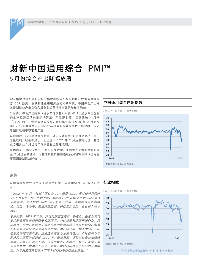## 财新中国通用综合 PMI™

5 月份综合产出降幅放缓

综合指数是制造业和服务业指数的相应加权平均值。权重值依据官 方 GDP 数据, 反映制造业和服务业的相关规模。中国综合产出指 数是制造业产出指数和服务业经营活动指数的加权平均值。

5 月份, 综合产出指数(经季节性调整) 录得 42.2, 显示中国企业 的生产经营活动总量连续第三个月呈现收缩。指数值较 4 月份 (37.2) 回升, 说明收缩率放缓, 但仍属显著 (2020 年 2 月后次 高)。行业数据显示,制造业与服务业的收缩率皆有所放缓,但后 者整体收缩率较前者严重。

与此同时, 新订单总量也明显下降, 但降幅为 3 个月来最小。用工 总量收缩,收缩率虽小,但已创下 2021 年 2 月后最高记录, 制造 业与服务业 5 月份用工规模皆轻微加速收缩。

整体而言, 通胀压力在 5 月份有所放缓, 平均投入成本的涨幅回落 至 2 月份后最低点, 而整体销售价格则连续两月轻微下降(当月主 要原因是制造业降价)。

#### 憠鍑

财新智库高级经济学家王喆博士评论中国通用综合 PMI 数据时表 示:

"2022 年 5 月, 财新中国综合 PMI 录得 42.2, 虽然较前月回升  $5.0 \, \triangle$ 百分点, 但从历史上看, 也仅高于 2020 年 2 月和 2022 年 4 月的水平, 是该指数 2005 年以来第三低值。疫情的负面影响持 续,供给、内外需、就业持续走弱,积压工作增加,企业投入成本 高企。

总体而言, 2022 年 5 月, 多地局部疫情持续, 制造业、服务业景气 度边际出现改善但仍位于收缩区间。制造业景气度好于服务业,需 求略强于供给。疫情对于市场供求的负面影响已传导至就业,制造 业和服务业就业恶化速度有所加快。供应链受阻、物流时间延长问 题未能得到彻底改善。企业成本端压力也依然较大。本轮疫情对于 经济的负面影响或超过 2020 年。政策层面,保证就业和物流畅通 是重中之重。打通产业链、供应链堵点,推动复工复产,有助于稳 定市场主体、提供就业保证。此外,帮扶纾困政策不应只限于供给 侧, 对于受疫情影响收入下降人员的补贴亦应提上日程。"

#### 中国通用综合产出指数



行业指数